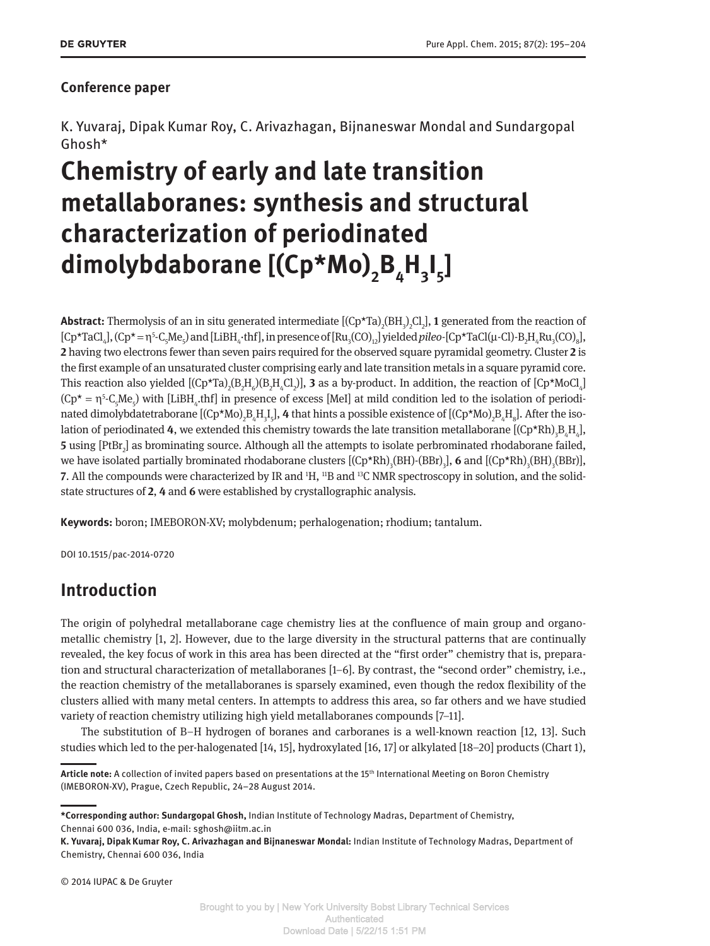### **Conference paper**

K. Yuvaraj, Dipak Kumar Roy, C. Arivazhagan, Bijnaneswar Mondal and Sundargopal Ghosh\*

# **Chemistry of early and late transition metallaboranes: synthesis and structural characterization of periodinated dimolybdaborane [(Cp\*Mo)<sup>2</sup> B4 H3 I 5 ]**

**Abstract:** Thermolysis of an in situ generated intermediate [(Cp\*Ta)<sub>2</sub>(BH<sub>3</sub>)<sub>2</sub>Cl<sub>2</sub>], **1** generated from the reaction of  $[Cp^{\star}TaCl_{4}]$ ,  $(Cp^{\star} = \eta^{5} \text{-} C_{5}Me_{5})$  and  $[LiBH_{4} \cdot \text{thf}],$  in presence of  $[Ru_{3}(CO)_{12}]$  yielded *pileo*- $[Cp^{\star}TaCl(\mu\text{-}Cl)\text{-}B_{2}H_{4}Ru_{3}(CO)_{8}]$ , **2** having two electrons fewer than seven pairs required for the observed square pyramidal geometry. Cluster **2** is the first example of an unsaturated cluster comprising early and late transition metals in a square pyramid core. This reaction also yielded  $[(Cp^{\star}Ta)_2(B_2H_6)(B_2H_4Cl_2)]$ , **3** as a by-product. In addition, the reaction of  $[Cp^{\star}M o Cl_4]$  $(Cp^* = \eta^5-C_5Me_5)$  with [LiBH<sub>4</sub>,thf] in presence of excess [MeI] at mild condition led to the isolation of periodinated dimolybdatetraborane [(Cp\*Mo)<sub>2</sub>B<sub>4</sub>H<sub>3</sub>I<sub>5</sub>], **4** that hints a possible existence of [(Cp\*Mo)<sub>2</sub>B<sub>4</sub>H<sub>8</sub>]. After the isolation of periodinated **4**, we extended this chemistry towards the late transition metallaborane [(Cp\*Rh)<sub>3</sub>B<sub>4</sub>H<sub>4</sub>], **5** using [PtBr<sub>2</sub>] as brominating source. Although all the attempts to isolate perbrominated rhodaborane failed, we have isolated partially brominated rhodaborane clusters  $[(Cp*Rh)_{3}(BH)\text{-}(BBr)_{3}]$ , **6** and  $[(Cp*Rh)_{3}(BH)_{3}(BH)]$ , **7.** All the compounds were characterized by IR and <sup>1</sup>H, <sup>11</sup>B and <sup>13</sup>C NMR spectroscopy in solution, and the solidstate structures of **2**, **4** and **6** were established by crystallographic analysis.

**Keywords:** boron; IMEBORON-XV; molybdenum; perhalogenation; rhodium; tantalum.

DOI 10.1515/pac-2014-0720

# **Introduction**

The origin of polyhedral metallaborane cage chemistry lies at the confluence of main group and organometallic chemistry [1, 2]. However, due to the large diversity in the structural patterns that are continually revealed, the key focus of work in this area has been directed at the "first order" chemistry that is, preparation and structural characterization of metallaboranes [1–6]. By contrast, the "second order" chemistry, i.e., the reaction chemistry of the metallaboranes is sparsely examined, even though the redox flexibility of the clusters allied with many metal centers. In attempts to address this area, so far others and we have studied variety of reaction chemistry utilizing high yield metallaboranes compounds [7–11].

The substitution of B–H hydrogen of boranes and carboranes is a well-known reaction [12, 13]. Such studies which led to the per-halogenated [14, 15], hydroxylated [16, 17] or alkylated [18–20] products (Chart 1),

© 2014 IUPAC & De Gruyter

**Article note:** A collection of invited papers based on presentations at the 15th International Meeting on Boron Chemistry (IMEBORON-XV), Prague, Czech Republic, 24–28 August 2014.

**<sup>\*</sup>Corresponding author: Sundargopal Ghosh,** Indian Institute of Technology Madras, Department of Chemistry, Chennai 600 036, India, e-mail: sghosh@iitm.ac.in

**K. Yuvaraj, Dipak Kumar Roy, C. Arivazhagan and Bijnaneswar Mondal:** Indian Institute of Technology Madras, Department of Chemistry, Chennai 600 036, India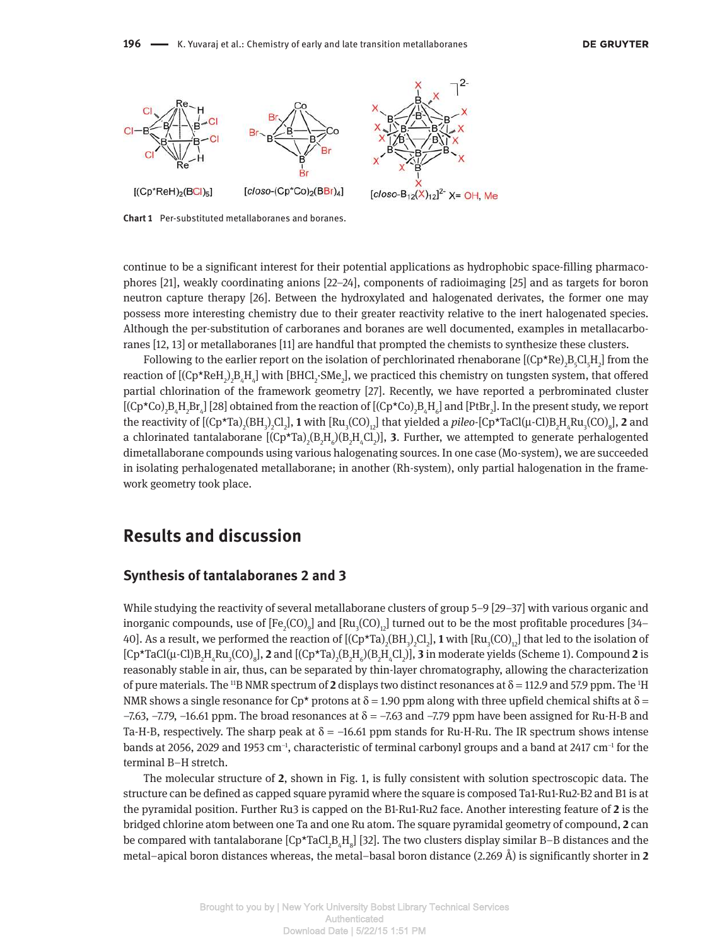

**Chart 1** Per-substituted metallaboranes and boranes.

continue to be a significant interest for their potential applications as hydrophobic space-filling pharmacophores [21], weakly coordinating anions [22–24], components of radioimaging [25] and as targets for boron neutron capture therapy [26]. Between the hydroxylated and halogenated derivates, the former one may possess more interesting chemistry due to their greater reactivity relative to the inert halogenated species. Although the per-substitution of carboranes and boranes are well documented, examples in metallacarboranes [12, 13] or metallaboranes [11] are handful that prompted the chemists to synthesize these clusters.

Following to the earlier report on the isolation of perchlorinated rhenaborane  $[(Cp*Re)_2B_{5}Cl_{5}H_2]$  from the reaction of [(Cp\*ReH<sub>2</sub>)<sub>2</sub>B<sub>4</sub>H<sub>4</sub>] with [BHCl<sub>2</sub>·SMe<sub>2</sub>], we practiced this chemistry on tungsten system, that offered partial chlorination of the framework geometry [27]. Recently, we have reported a perbrominated cluster [(Cp\*Co)<sub>2</sub>B<sub>4</sub>H<sub>2</sub>Br<sub>4</sub>] [28] obtained from the reaction of [(Cp\*Co)<sub>2</sub>B<sub>4</sub>H<sub>6</sub>] and [PtBr<sub>2</sub>]. In the present study, we report the reactivity of  $[(Cp*Ta)_2(BH_3)_2C1_2]$ , **1** with  $[Ru_3(CO)_{12}]$  that yielded a *pileo*-[Cp\*TaCl(µ-Cl)B<sub>2</sub>H<sub>4</sub>Ru<sub>3</sub>(CO)<sub>8</sub>], **2** and a chlorinated tantalaborane  $[(Cp^{\star}Ta)_{2}(B_{2}H_{6})(B_{2}H_{4}Cl_{2})]$ , **3.** Further, we attempted to generate perhalogented dimetallaborane compounds using various halogenating sources. In one case (Mo-system), we are succeeded in isolating perhalogenated metallaborane; in another (Rh-system), only partial halogenation in the framework geometry took place.

### **Results and discussion**

### **Synthesis of tantalaboranes 2 and 3**

While studying the reactivity of several metallaborane clusters of group 5–9 [29–37] with various organic and inorganic compounds, use of  $[Fe_2(CO)_9]$  and  $[Ru_3(CO)_{12}]$  turned out to be the most profitable procedures [34– 40]. As a result, we performed the reaction of  $[(Cp*Ta)_2(BH_3)_2C12_]$ , **1** with  $[Ru_3(CO)_{12}]$  that led to the isolation of  $[Cp*TaCl(\mu\text{-}Cl)B_2H_4Ru_3(CO)_8]$ , **2** and  $[(Cp*Ta)_2(B_2H_6)(B_2H_4Cl_2)]$ , **3** in moderate yields (Scheme 1). Compound **2** is reasonably stable in air, thus, can be separated by thin-layer chromatography, allowing the characterization of pure materials. The <sup>11</sup>B NMR spectrum of **2** displays two distinct resonances at  $\delta$  = 112.9 and 57.9 ppm. The <sup>1</sup>H NMR shows a single resonance for Cp\* protons at  $\delta = 1.90$  ppm along with three upfield chemical shifts at  $\delta =$  $-7.63$ ,  $-7.79$ ,  $-16.61$  ppm. The broad resonances at  $\delta = -7.63$  and  $-7.79$  ppm have been assigned for Ru-H-B and Ta-H-B, respectively. The sharp peak at  $\delta = -16.61$  ppm stands for Ru-H-Ru. The IR spectrum shows intense bands at 2056, 2029 and 1953 cm–1, characteristic of terminal carbonyl groups and a band at 2417 cm–1 for the terminal B–H stretch.

The molecular structure of **2**, shown in Fig. 1, is fully consistent with solution spectroscopic data. The structure can be defined as capped square pyramid where the square is composed Ta1-Ru1-Ru2-B2 and B1 is at the pyramidal position. Further Ru3 is capped on the B1-Ru1-Ru2 face. Another interesting feature of **2** is the bridged chlorine atom between one Ta and one Ru atom. The square pyramidal geometry of compound, **2** can be compared with tantalaborane  $[Cp^{\star}TaC_{2}B_{4}H_{8}]$  [32]. The two clusters display similar B–B distances and the metal–apical boron distances whereas, the metal–basal boron distance (2.269 Å) is significantly shorter in **2**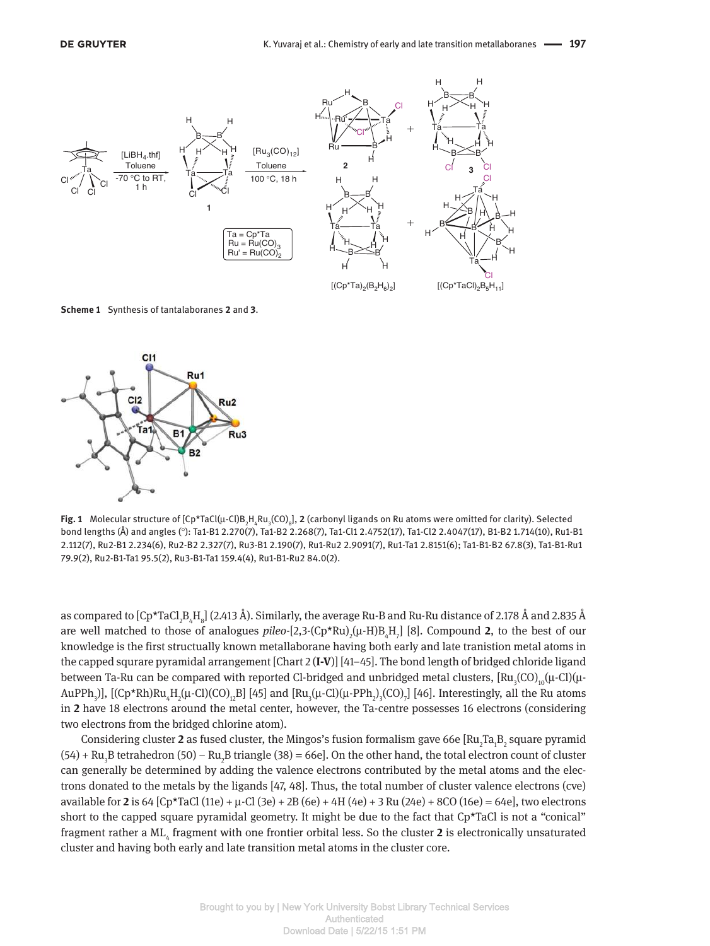

**Scheme 1** Synthesis of tantalaboranes **2** and **3**.



**Fig. 1** Molecular structure of [Cp\*TaCl(μ-Cl)B<sub>2</sub>H<sub>4</sub>Ru<sub>3</sub>(CO)<sub>8</sub>], **2** (carbonyl ligands on Ru atoms were omitted for clarity). Selected bond lengths (Å) and angles (°): Ta1-B1 2.270(7), Ta1-B2 2.268(7), Ta1-Cl1 2.4752(17), Ta1-Cl2 2.4047(17), B1-B2 1.714(10), Ru1-B1 2.112(7), Ru2-B1 2.234(6), Ru2-B2 2.327(7), Ru3-B1 2.190(7), Ru1-Ru2 2.9091(7), Ru1-Ta1 2.8151(6); Ta1-B1-B2 67.8(3), Ta1-B1-Ru1 79.9(2), Ru2-B1-Ta1 95.5(2), Ru3-B1-Ta1 159.4(4), Ru1-B1-Ru2 84.0(2).

as compared to  $[{\rm Cp^\star TaCl}_2{\rm B}_4{\rm H}_8]$  (2.413 Å). Similarly, the average Ru-B and Ru-Ru distance of 2.178 Å and 2.835 Å are well matched to those of analogues *pileo*-[2,3-(Cp\*Ru)<sub>2</sub>(µ-H)B<sub>4</sub>H<sub>7</sub>] [8]. Compound **2**, to the best of our knowledge is the first structually known metallaborane having both early and late tranistion metal atoms in the capped squrare pyramidal arrangement [Chart 2 (**I-V**)] [41–45]. The bond length of bridged chloride ligand between Ta-Ru can be compared with reported Cl-bridged and unbridged metal clusters,  $\rm [Ru_{_3}(CO)_{_{10}}(\mu\text{-}Cl)(\mu\text{-}Cl)$ AuPPh<sub>3</sub>)], [(Cp\*Rh)Ru<sub>4</sub>H<sub>2</sub>(µ-Cl)(CO)<sub>12</sub>B] [45] and [Ru<sub>3</sub>(µ-Cl)(µ-PPh<sub>2</sub>)<sub>3</sub>(CO)<sub>7</sub>] [46]. Interestingly, all the Ru atoms in **2** have 18 electrons around the metal center, however, the Ta-centre possesses 16 electrons (considering two electrons from the bridged chlorine atom).

Considering cluster **2** as fused cluster, the Mingos's fusion formalism gave 66e [Ru<sub>2</sub>Ta<sub>1</sub>B<sub>2</sub> square pyramid  $(54)$  + Ru<sub>3</sub>B tetrahedron (50) – Ru<sub>2</sub>B triangle (38) = 66e]. On the other hand, the total electron count of cluster can generally be determined by adding the valence electrons contributed by the metal atoms and the electrons donated to the metals by the ligands [47, 48]. Thus, the total number of cluster valence electrons (cve) available for **2** is 64  $[CP*TaCl(11e) + \mu \cdot Cl(3e) + 2B(6e) + 4H(4e) + 3 Ru(24e) + 8CO(16e) = 64e]$ , two electrons short to the capped square pyramidal geometry. It might be due to the fact that Cp\*TaCl is not a "conical" fragment rather a ML<sub>4</sub> fragment with one frontier orbital less. So the cluster 2 is electronically unsaturated cluster and having both early and late transition metal atoms in the cluster core.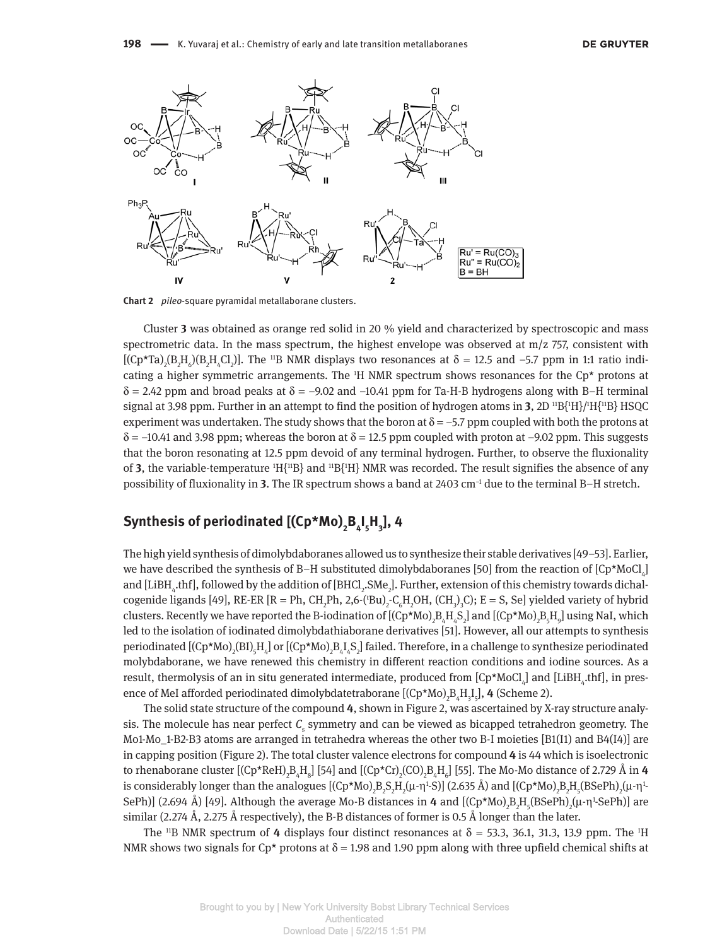

**Chart 2** *pileo*-square pyramidal metallaborane clusters.

Cluster **3** was obtained as orange red solid in 20 % yield and characterized by spectroscopic and mass spectrometric data. In the mass spectrum, the highest envelope was observed at  $m/z$  757, consistent with  $[(Cp*Ta)_{2}(B_{2}H_{6})(B_{2}H_{4}Cl_{2})]$ . The <sup>11</sup>B NMR displays two resonances at  $\delta = 12.5$  and -5.7 ppm in 1:1 ratio indicating a higher symmetric arrangements. The  $H$  NMR spectrum shows resonances for the Cp\* protons at  $\delta$  = 2.42 ppm and broad peaks at  $\delta$  = -9.02 and -10.41 ppm for Ta-H-B hydrogens along with B-H terminal signal at 3.98 ppm. Further in an attempt to find the position of hydrogen atoms in **3**,  $2D$  <sup>11</sup>B{<sup>1</sup>H}/<sup>1</sup>H{<sup>11</sup>B} HSQC experiment was undertaken. The study shows that the boron at  $\delta = -5.7$  ppm coupled with both the protons at  $\delta$  = –10.41 and 3.98 ppm; whereas the boron at  $\delta$  = 12.5 ppm coupled with proton at –9.02 ppm. This suggests that the boron resonating at 12.5 ppm devoid of any terminal hydrogen. Further, to observe the fluxionality of **3**, the variable-temperature  $^1H{^{11}B}$  and  $^1B{^{11}H}$  NMR was recorded. The result signifies the absence of any possibility of fluxionality in **3**. The IR spectrum shows a band at 2403 cm–1 due to the terminal B–H stretch.

## **Synthesis of periodinated [(Cp\*Mo)<sup>2</sup> B4 I 5 H3 ], 4**

The high yield synthesis of dimolybdaboranes allowed us to synthesize their stable derivatives [49–53]. Earlier, we have described the synthesis of B–H substituted dimolybdaboranes [50] from the reaction of [Cp\*MoCl<sub>4</sub>] and [LiBH<sub>4</sub>.thf], followed by the addition of [BHCl<sub>2</sub>.SMe<sub>2</sub>]. Further, extension of this chemistry towards dichalcogenide ligands [49], RE-ER [R = Ph, CH<sub>2</sub>Ph, 2,6-('Bu)<sub>2</sub>-C<sub>6</sub>H<sub>2</sub>OH, (CH<sub>3</sub>)<sub>3</sub>C); E = S, Se] yielded variety of hybrid clusters. Recently we have reported the B-iodination of [(Cp\*Mo)<sub>2</sub>B<sub>4</sub>H<sub>4</sub>S<sub>2</sub>] and [(Cp\*Mo)<sub>2</sub>B<sub>5</sub>H<sub>9</sub>] using NaI, which led to the isolation of iodinated dimolybdathiaborane derivatives [51]. However, all our attempts to synthesis periodinated  $[(Cp * Mo)_{2}Bl)_{5}H_{4}]$  or  $[(Cp * Mo)_{2}B_{4}I_{4}S_{2}]$  failed. Therefore, in a challenge to synthesize periodinated molybdaborane, we have renewed this chemistry in different reaction conditions and iodine sources. As a result, thermolysis of an in situ generated intermediate, produced from [Cp\*MoCl<sub>4</sub>] and [LiBH<sub>4</sub>.thf], in presence of MeI afforded periodinated dimolybdatetraborane [(Cp\*Mo)<sub>2</sub>B<sub>4</sub>H<sub>3</sub>I<sub>5</sub>], **4** (Scheme 2).

The solid state structure of the compound **4**, shown in Figure 2, was ascertained by X-ray structure analy $s$  is. The molecule has near perfect  $\mathcal{C}_s$  symmetry and can be viewed as bicapped tetrahedron geometry. The Mo1-Mo\_1-B2-B3 atoms are arranged in tetrahedra whereas the other two B-I moieties [B1(I1) and B4(I4)] are in capping position (Figure 2). The total cluster valence electrons for compound **4** is 44 which is isoelectronic to rhenaborane cluster [(Cp\*ReH)<sub>2</sub>B<sub>4</sub>H<sub>8</sub>] [54] and [(Cp\*Cr)<sub>2</sub>(CO)<sub>2</sub>B<sub>4</sub>H<sub>6</sub>] [55]. The Mo-Mo distance of 2.729 Å in **4** is considerably longer than the analogues [(Cp\*Mo)<sub>2</sub>B<sub>2</sub>S<sub>2</sub>H<sub>2</sub>(µ-η<sup>1</sup>-S)] (2.635 Å) and [(Cp\*Mo)<sub>2</sub>B<sub>2</sub>H<sub>5</sub>(BSePh)<sub>2</sub>(µ-η<sup>1</sup> SePh)] (2.694 Å) [49]. Although the average Mo-B distances in **4** and [(Cp\*Mo)<sub>2</sub>B<sub>2</sub>H<sub>5</sub>(BSePh)<sub>2</sub>(μ-η<sup>1</sup>-SePh)] are similar (2.274 Å, 2.275 Å respectively), the B-B distances of former is 0.5 Å longer than the later.

The <sup>11</sup>B NMR spectrum of 4 displays four distinct resonances at  $\delta$  = 53.3, 36.1, 31.3, 13.9 ppm. The <sup>1</sup>H NMR shows two signals for Cp<sup>\*</sup> protons at  $\delta$  = 1.98 and 1.90 ppm along with three upfield chemical shifts at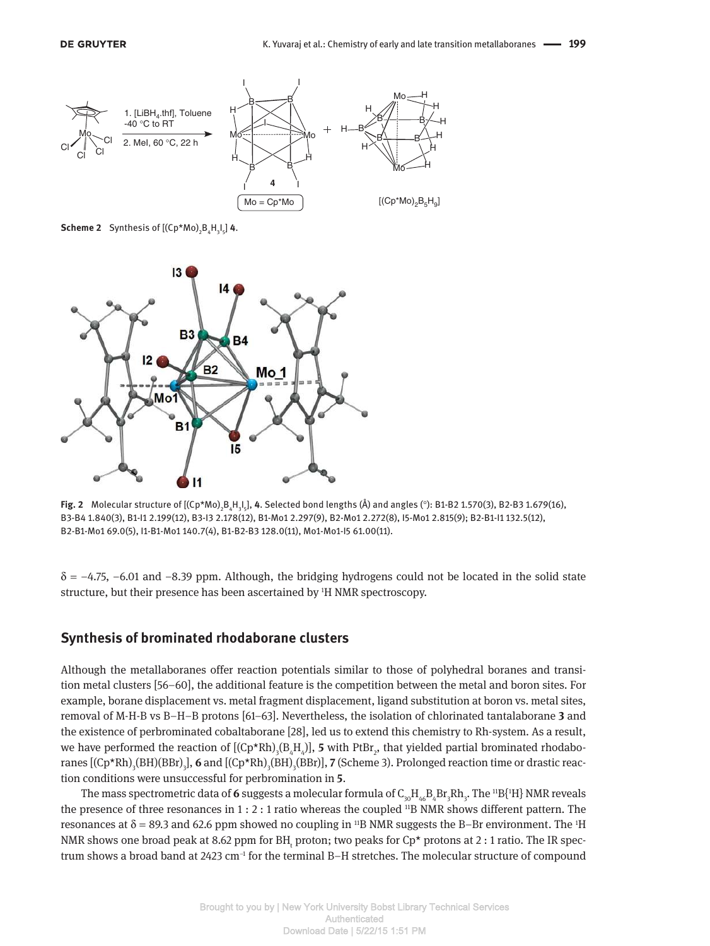

**Scheme 2** Synthesis of  $[(Cp*Mo)_{2}B_{4}H_{3}I_{5}]$  **4**.



**Fig. 2** Molecular structure of [(Cp\*Mo)<sub>2</sub>B<sub>4</sub>H<sub>3</sub>I,], **4**. Selected bond lengths (Å) and angles (°): B1-B2 1.570(3), B2-B3 1.679(16), B3-B4 1.840(3), B1-I1 2.199(12), B3-I3 2.178(12), B1-Mo1 2.297(9), B2-Mo1 2.272(8), I5-Mo1 2.815(9); B2-B1-I1 132.5(12), B2-B1-Mo1 69.0(5), I1-B1-Mo1 140.7(4), B1-B2-B3 128.0(11), Mo1-Mo1-I5 61.00(11).

 $\delta$  = –4.75, –6.01 and –8.39 ppm. Although, the bridging hydrogens could not be located in the solid state structure, but their presence has been ascertained by 1H NMR spectroscopy.

### **Synthesis of brominated rhodaborane clusters**

Although the metallaboranes offer reaction potentials similar to those of polyhedral boranes and transition metal clusters [56–60], the additional feature is the competition between the metal and boron sites. For example, borane displacement vs. metal fragment displacement, ligand substitution at boron vs. metal sites, removal of M-H-B vs B–H–B protons [61–63]. Nevertheless, the isolation of chlorinated tantalaborane **3** and the existence of perbrominated cobaltaborane [28], led us to extend this chemistry to Rh-system. As a result, we have performed the reaction of  $[(Cp*Rh)_{3}(B_{4}H_{4})]$ , **5** with PtBr<sub>2</sub>, that yielded partial brominated rhodaboranes [(Cp\*Rh)<sub>3</sub>(BH)(BBr)<sub>3</sub>], **6** and [(Cp\*Rh)<sub>3</sub>(BH)<sub>3</sub>(BBr)], **7** (Scheme 3). Prolonged reaction time or drastic reaction conditions were unsuccessful for perbromination in **5**.

The mass spectrometric data of **6** suggests a molecular formula of  $\mathsf{C}_{\mathsf{30}}\mathsf{H}_{\mathsf{46}}\mathsf{B}_4\mathsf{Br}_3\mathsf{Rh}_3$ . The  $^{11}\mathrm{B}\{^{1}\mathrm{H}\}$  NMR reveals the presence of three resonances in  $1:2:1$  ratio whereas the coupled  $^{11}B$  NMR shows different pattern. The resonances at  $\delta$  = 89.3 and 62.6 ppm showed no coupling in <sup>11</sup>B NMR suggests the B-Br environment. The <sup>1</sup>H NMR shows one broad peak at 8.62 ppm for BH<sub>t</sub> proton; two peaks for Cp\* protons at 2 : 1 ratio. The IR spectrum shows a broad band at 2423  $cm^{-1}$  for the terminal B–H stretches. The molecular structure of compound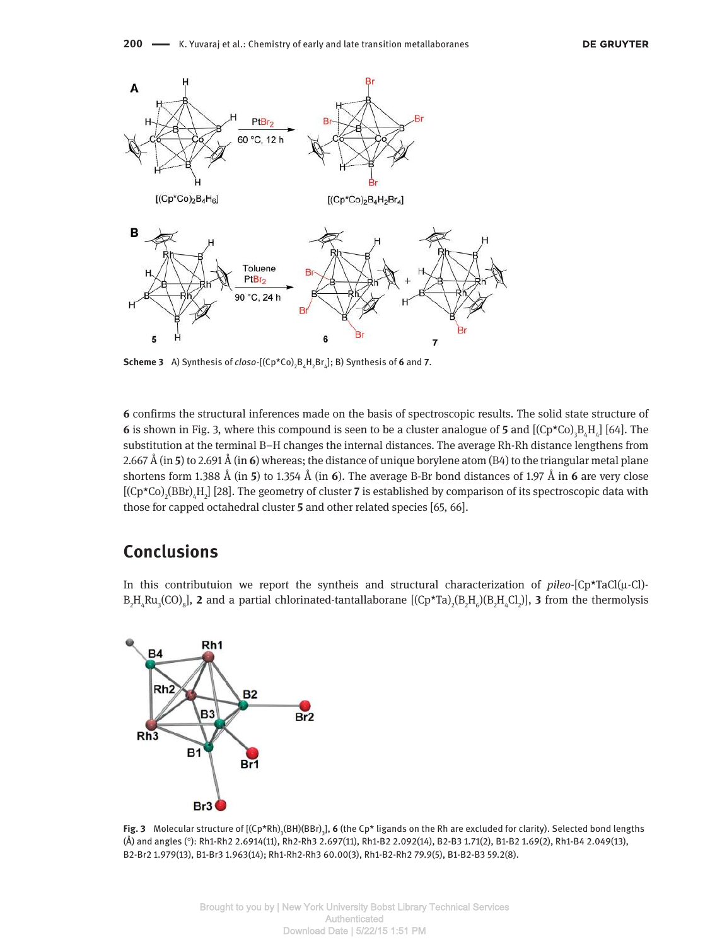

**Scheme 3** A) Synthesis of *closo*-[ $(Cp*Co)_{2}B_{4}H_{2}Br_{4}$ ]; B) Synthesis of 6 and 7.

**6** confirms the structural inferences made on the basis of spectroscopic results. The solid state structure of **6** is shown in Fig. 3, where this compound is seen to be a cluster analogue of **5** and  $[(Cp*Co)_{3}B_{4}H_{4}]$  [64]. The substitution at the terminal B–H changes the internal distances. The average Rh-Rh distance lengthens from 2.667 Å (in **5**) to 2.691 Å (in **6**) whereas; the distance of unique borylene atom (B4) to the triangular metal plane shortens form 1.388 Å (in **5**) to 1.354 Å (in **6**). The average B-Br bond distances of 1.97 Å in **6** are very close [(Cp\*Co)<sub>2</sub>(BBr)<sub>4</sub>H<sub>2</sub>] [28]. The geometry of cluster **7** is established by comparison of its spectroscopic data with those for capped octahedral cluster **5** and other related species [65, 66].

# **Conclusions**

In this contributuion we report the syntheis and structural characterization of *pileo*-[Cp\*TaCl(µ-Cl)-  $B_2H_4Ru_3(CO)_8$ ], **2** and a partial chlorinated-tantallaborane  $[(Cp*Ta)_2(B_2H_6)(B_2H_4Cl_2)]$ , **3** from the thermolysis



**Fig. 3** Molecular structure of [(Cp\*Rh)<sub>3</sub>(BH)(BBr)<sub>3</sub>], **6** (the Cp\* ligands on the Rh are excluded for clarity). Selected bond lengths (Å) and angles (°): Rh1-Rh2 2.6914(11), Rh2-Rh3 2.697(11), Rh1-B2 2.092(14), B2-B3 1.71(2), B1-B2 1.69(2), Rh1-B4 2.049(13), B2-Br2 1.979(13), B1-Br3 1.963(14); Rh1-Rh2-Rh3 60.00(3), Rh1-B2-Rh2 79.9(5), B1-B2-B3 59.2(8).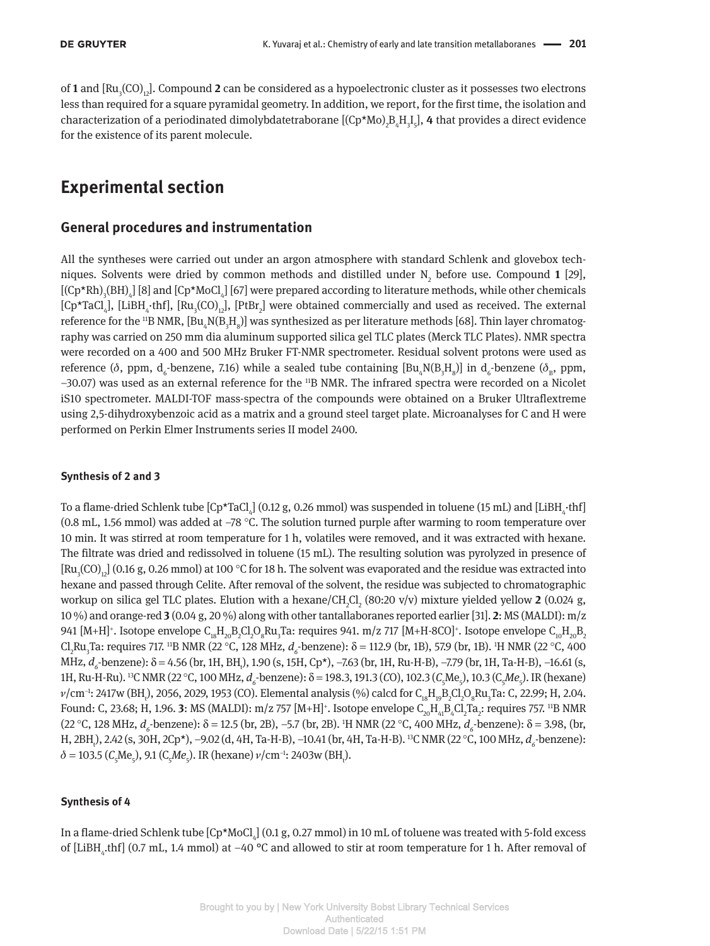of **1** and [Ru<sub>3</sub>(CO)<sub>12</sub>]. Compound **2** can be considered as a hypoelectronic cluster as it possesses two electrons less than required for a square pyramidal geometry. In addition, we report, for the first time, the isolation and characterization of a periodinated dimolybdatetraborane [(Cp\*Mo)<sub>2</sub>B<sub>4</sub>H<sub>3</sub>I<sub>5</sub>], 4 that provides a direct evidence for the existence of its parent molecule.

# **Experimental section**

### **General procedures and instrumentation**

All the syntheses were carried out under an argon atmosphere with standard Schlenk and glovebox techniques. Solvents were dried by common methods and distilled under  $N_2$  before use. Compound 1 [29],  $[({Cp*Rh})_{3}({BH})_{4}]$  [8] and  $[Cp*MoCl]_{4}$ ] [67] were prepared according to literature methods, while other chemicals  $[Cp^{\star}TaCl_4]$ , [LiBH<sub>4</sub>·thf], [Ru<sub>3</sub>(CO)<sub>12</sub>], [PtBr<sub>2</sub>] were obtained commercially and used as received. The external reference for the  $^{11}$ B NMR,  ${\rm [Bu}_4{\rm N(B_3H_8)]}$  was synthesized as per literature methods [68]. Thin layer chromatography was carried on 250 mm dia aluminum supported silica gel TLC plates (Merck TLC Plates). NMR spectra were recorded on a 400 and 500 MHz Bruker FT-NMR spectrometer. Residual solvent protons were used as reference ( $\delta$ , ppm, d<sub>6</sub>-benzene, 7.16) while a sealed tube containing  $[Bu_4N(B_3H_8)]$  in d<sub>6</sub>-benzene ( $\delta_B$ , ppm, –30.07) was used as an external reference for the 11B NMR. The infrared spectra were recorded on a Nicolet iS10 spectrometer. MALDI-TOF mass-spectra of the compounds were obtained on a Bruker Ultraflextreme using 2,5-dihydroxybenzoic acid as a matrix and a ground steel target plate. Microanalyses for C and H were performed on Perkin Elmer Instruments series II model 2400.

#### **Synthesis of 2 and 3**

To a flame-dried Schlenk tube [Cp\*TaCl $_4$ ] (0.12 g, 0.26 mmol) was suspended in toluene (15 mL) and [LiBH $_4\cdot$ thf] (0.8 mL, 1.56 mmol) was added at –78 °C. The solution turned purple after warming to room temperature over 10 min. It was stirred at room temperature for 1 h, volatiles were removed, and it was extracted with hexane. The filtrate was dried and redissolved in toluene (15 mL). The resulting solution was pyrolyzed in presence of  $\rm [Ru_{3}CO)_{12}]$  (0.16 g, 0.26 mmol) at 100 °C for 18 h. The solvent was evaporated and the residue was extracted into hexane and passed through Celite. After removal of the solvent, the residue was subjected to chromatographic workup on silica gel TLC plates. Elution with a hexane/CH<sub>2</sub>Cl<sub>2</sub> (80:20 v/v) mixture yielded yellow **2** (0.024 g, 10 %) and orange-red **3** (0.04 g, 20 %) along with other tantallaboranes reported earlier [31]. **2**: MS (MALDI): m/z 941 [M+H]+. Isotope envelope  $\rm C_{18}H_{20}B_2Cl_2O_8Ru_3Ta$ : requires 941. m/z 717 [M+H-8CO]+. Isotope envelope  $\rm C_{10}H_{20}B_2$ Cl<sub>2</sub>Ru<sub>3</sub>Ta: requires 717. <sup>11</sup>B NMR (22 °C, 128 MHz, *d<sub>6</sub>* benzene): δ = 112.9 (br, 1B), 57.9 (br, 1B). <sup>1</sup>H NMR (22 °C, 400 MHz, d<sub>6</sub>-benzene): δ = 4.56 (br, 1H, BH<sub>t</sub>), 1.90 (s, 15H, Cp\*), –7.63 (br, 1H, Ru-H-B), –7.79 (br, 1H, Ta-H-B), –16.61 (s, 1H, Ru-H-Ru). <sup>13</sup>C NMR (22 °C, 100 MHz, *d<sub>6</sub>*-benzene): δ = 198.3, 191.3 (CO), 102.3 (C<sub>5</sub>Me<sub>5</sub>), 10.3 (C<sub>5</sub>Me<sub>5</sub>). IR (hexane)  $\nu$ /cm<sup>-1</sup>: 2417w (BH<sub>t</sub>), 2056, 2029, 1953 (CO). Elemental analysis (%) calcd for C<sub>18</sub>H<sub>19</sub>B<sub>2</sub>Cl<sub>2</sub>O<sub>8</sub>Ru<sub>3</sub>Ta: C, 22.99; H, 2.04. Found: C, 23.68; H, 1.96. **3**: MS (MALDI): m/z 757 [M+H]<sup>+</sup>. Isotope envelope C<sub>20</sub>H<sub>41</sub>B<sub>4</sub>Cl<sub>2</sub>Ta<sub>2</sub>: requires 757. <sup>11</sup>B NMR (22 °C, 128 MHz, *d<sub>6</sub>*-benzene): δ = 12.5 (br, 2B), −5.7 (br, 2B). <sup>1</sup>H NMR (22 °C, 400 MHz, *d<sub>6</sub>*-benzene): δ = 3.98, (br, H, 2BH<sub>t</sub>), 2.42 (s, 30H, 2Cp\*), –9.02 (d, 4H, Ta-H-B), –10.41 (br, 4H, Ta-H-B). <sup>13</sup>C NMR (22 °C, 100 MHz, *d<sub>6</sub>*-benzene):  $\delta$  = 103.5 (C<sub>5</sub>Me<sub>5</sub>), 9.1 (C<sub>5</sub>Me<sub>5</sub>). IR (hexane)  $\nu$ /cm<sup>-1</sup>: 2403w (BH<sub>t</sub>).

#### **Synthesis of 4**

In a flame-dried Schlenk tube [Cp\*MoCl $_4$ ] (0.1 g, 0.27 mmol) in 10 mL of toluene was treated with 5-fold excess of [LiBH<sub>4</sub>.thf] (0.7 mL, 1.4 mmol) at -40 °C and allowed to stir at room temperature for 1 h. After removal of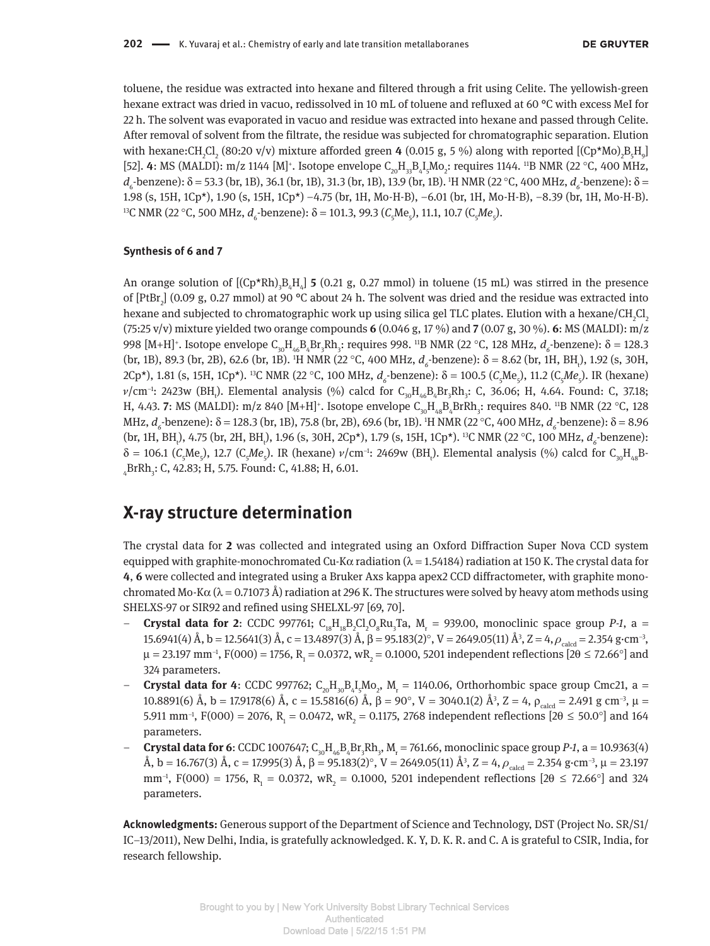toluene, the residue was extracted into hexane and filtered through a frit using Celite. The yellowish-green hexane extract was dried in vacuo, redissolved in 10 mL of toluene and refluxed at 60 °C with excess MeI for 22 h. The solvent was evaporated in vacuo and residue was extracted into hexane and passed through Celite. After removal of solvent from the filtrate, the residue was subjected for chromatographic separation. Elution with hexane:CH<sub>2</sub>Cl<sub>2</sub> (80:20 v/v) mixture afforded green **4** (0.015 g, 5 %) along with reported [(Cp\*Mo)<sub>2</sub>B<sub>5</sub>H<sub>9</sub>] [52]. **4**: MS (MALDI): m/z 1144 [M]<sup>+</sup>. Isotope envelope  $C_{20}H_{33}B_{4}I_{5}Mo_{2}$ : requires 1144. <sup>11</sup>B NMR (22 °C, 400 MHz, d<sub>6</sub>-benzene): δ = 53.3 (br, 1B), 36.1 (br, 1B), 31.3 (br, 1B), 13.9 (br, 1B). <sup>1</sup>H NMR (22 °C, 400 MHz, d<sub>6</sub>-benzene): δ = 1.98 (s, 15H, 1Cp\*), 1.90 (s, 15H, 1Cp\*) –4.75 (br, 1H, Mo-H-B), –6.01 (br, 1H, Mo-H-B), –8.39 (br, 1H, Mo-H-B). <sup>13</sup>C NMR (22 °C, 500 MHz, d<sub>6</sub>-benzene): δ = 101.3, 99.3 (C<sub>5</sub>Me<sub>5</sub>), 11.1, 10.7 (C<sub>5</sub>Me<sub>5</sub>).

#### **Synthesis of 6 and 7**

An orange solution of  $[(Cp*Rh)_{3}B_{4}H_{4}]$  **5** (0.21 g, 0.27 mmol) in toluene (15 mL) was stirred in the presence of  $[PtBr_2]$  (0.09 g, 0.27 mmol) at 90 °C about 24 h. The solvent was dried and the residue was extracted into hexane and subjected to chromatographic work up using silica gel TLC plates. Elution with a hexane/CH<sub>2</sub>Cl<sub>2</sub> (75:25 v/v) mixture yielded two orange compounds **6** (0.046 g, 17 %) and **7** (0.07 g, 30 %). **6**: MS (MALDI): m/z 998 [M+H]<sup>+</sup>. Isotope envelope C<sub>30</sub>H<sub>46</sub>B<sub>4</sub>Br<sub>3</sub>Rh<sub>3</sub>: requires 998. <sup>11</sup>B NMR (22 °C, 128 MHz, *d<sub>6</sub>*-benzene): δ = 128.3 (br, 1B), 89.3 (br, 2B), 62.6 (br, 1B). <sup>1</sup>H NMR (22 °C, 400 MHz, *d<sub>6</sub>*-benzene): δ = 8.62 (br, 1H, BH<sub>1</sub>), 1.92 (s, 30H, 2Cp\*), 1.81 (s, 15H, 1Cp\*). <sup>13</sup>C NMR (22 °C, 100 MHz, *d<sub>6</sub>*-benzene): δ = 100.5 (C<sub>5</sub>Me<sub>5</sub>), 11.2 (C<sub>5</sub>Me<sub>5</sub>). IR (hexane)  $\nu$ /cm<sup>-1</sup>: 2423w (BH<sub>t</sub>). Elemental analysis (%) calcd for C<sub>30</sub>H<sub>46</sub>B<sub>4</sub>Br<sub>3</sub>Rh<sub>3</sub>: C, 36.06; H, 4.64. Found: C, 37.18; H, 4.43. **7**: MS (MALDI): m/z 840 [M+H]<sup>+</sup>. Isotope envelope  $C_{30}H_{48}B_4BrRh_{3}$ : requires 840. <sup>11</sup>B NMR (22 °C, 128 MHz, *d<sub>6</sub>*-benzene): δ = 128.3 (br, 1B), 75.8 (br, 2B), 69.6 (br, 1B). <sup>1</sup>H NMR (22 °C, 400 MHz, *d<sub>6</sub>*-benzene): δ = 8.96 (br, 1H, BH<sub>t</sub>), 4.75 (br, 2H, BH<sub>t</sub>), 1.96 (s, 30H, 2Cp\*), 1.79 (s, 15H, 1Cp\*). <sup>13</sup>C NMR (22 °C, 100 MHz, *d<sub>6</sub>*-benzene):  $\delta = 106.1$  ( $C_5$ Me<sub>5</sub>), 12.7 ( $C_5$ Me<sub>5</sub>). IR (hexane)  $\nu$ /cm<sup>-1</sup>: 2469w (BH<sub>t</sub>). Elemental analysis (%) calcd for  $C_{30}H_{48}B$ -<sub>4</sub>BrRh<sub>3</sub>: C, 42.83; H, 5.75. Found: C, 41.88; H, 6.01.

# **X-ray structure determination**

The crystal data for **2** was collected and integrated using an Oxford Diffraction Super Nova CCD system equipped with graphite-monochromated Cu-K $\alpha$  radiation ( $\lambda$  = 1.54184) radiation at 150 K. The crystal data for **4**, **6** were collected and integrated using a Bruker Axs kappa apex2 CCD diffractometer, with graphite monochromated Mo-K $\alpha$  ( $\lambda$  = 0.71073 Å) radiation at 296 K. The structures were solved by heavy atom methods using SHELXS-97 or SIR92 and refined using SHELXL-97 [69, 70].

- **Crystal data for 2:** CCDC 997761;  $C_{18}H_{18}B_2C_1O_8Ru_3Ta$ ,  $M_r = 939.00$ , monoclinic space group *P-1*, a = 15.6941(4) Å, b = 12.5641(3) Å, c = 13.4897(3) Å, β = 95.183(2)°, V = 2649.05(11) Å<sup>3</sup>, Z = 4,  $\rho_{\rm{calcd}}$  = 2.354 g·cm<sup>-3</sup>,  $\mu = 23.197$  mm<sup>-1</sup>, F(000) = 1756, R<sub>1</sub> = 0.0372, wR<sub>2</sub> = 0.1000, 5201 independent reflections [2 $\theta \le 72.66^{\circ}$ ] and 324 parameters.
- **Crystal data for 4**: CCDC 997762;  $C_{20}H_{30}B_4I_5Mo_2$ ,  $M_r = 1140.06$ , Orthorhombic space group Cmc21, a = 10.8891(6) Å, b = 17.9178(6) Å, c = 15.5816(6) Å, β = 90°, V = 3040.1(2) Å<sup>3</sup>, Z = 4, ρ<sub>calcd</sub> = 2.491 g cm<sup>-3</sup>, μ = 5.911 mm<sup>-1</sup>, F(000) = 2076, R<sub>1</sub> = 0.0472, wR<sub>2</sub> = 0.1175, 2768 independent reflections [2θ ≤ 50.0°] and 164 parameters.
- **- Crystal data for 6:** CCDC 1007647;  $C_{30}H_{46}B_4Br_3Rh_3$ ,  $M_r = 761.66$ , monoclinic space group *P-1*, a = 10.9363(4) Å, b = 16.767(3) Å, c = 17.995(3) Å, β = 95.183(2)°, V = 2649.05(11) Å<sup>3</sup>, Z = 4,  $\rho_{\rm{calcd}}$  = 2.354 g·cm<sup>-3</sup>, μ = 23.197 mm<sup>-1</sup>, F(000) = 1756, R<sub>1</sub> = 0.0372, wR<sub>2</sub> = 0.1000, 5201 independent reflections [2 $\theta \le 72.66^{\circ}$ ] and 324 parameters.

**Acknowledgments:** Generous support of the Department of Science and Technology, DST (Project No. SR/S1/ IC–13/2011), New Delhi, India, is gratefully acknowledged. K. Y, D. K. R. and C. A is grateful to CSIR, India, for research fellowship.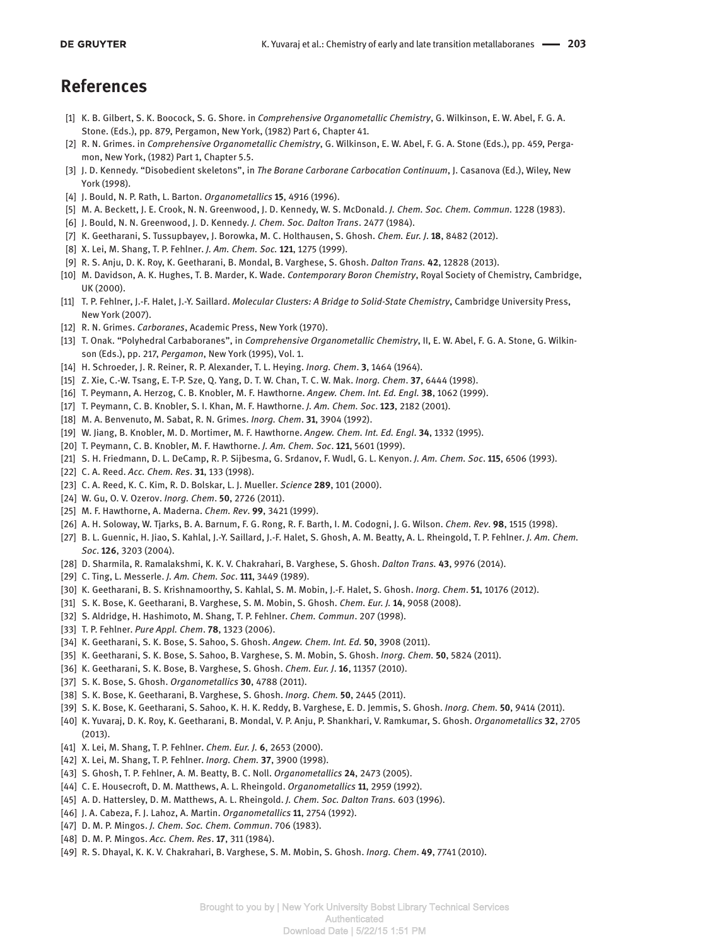### **References**

- [1] K. B. Gilbert, S. K. Boocock, S. G. Shore. in *Comprehensive Organometallic Chemistry*, G. Wilkinson, E. W. Abel, F. G. A. Stone. (Eds.), pp. 879, Pergamon, New York, (1982) Part 6, Chapter 41.
- [2] R. N. Grimes. in *Comprehensive Organometallic Chemistry*, G. Wilkinson, E. W. Abel, F. G. A. Stone (Eds.), pp. 459, Pergamon, New York, (1982) Part 1, Chapter 5.5.
- [3] J. D. Kennedy. "Disobedient skeletons", in *The Borane Carborane Carbocation Continuum*, J. Casanova (Ed.), Wiley, New York (1998).
- [4] J. Bould, N. P. Rath, L. Barton. *Organometallics* **15**, 4916 (1996).
- [5] M. A. Beckett, J. E. Crook, N. N. Greenwood, J. D. Kennedy, W. S. McDonald. *J. Chem. Soc. Chem. Commun.* 1228 (1983).
- [6] J. Bould, N. N. Greenwood, J. D. Kennedy. *J. Chem. Soc. Dalton Trans*. 2477 (1984).
- [7] K. Geetharani, S. Tussupbayev, J. Borowka, M. C. Holthausen, S. Ghosh. *Chem. Eur. J*. **18**, 8482 (2012).
- [8] X. Lei, M. Shang, T. P. Fehlner. *J. Am. Chem. Soc.* **121**, 1275 (1999).
- [9] R. S. Anju, D. K. Roy, K. Geetharani, B. Mondal, B. Varghese, S. Ghosh. *Dalton Trans.* **42**, 12828 (2013).
- [10] M. Davidson, A. K. Hughes, T. B. Marder, K. Wade. *Contemporary Boron Chemistry*, Royal Society of Chemistry, Cambridge, UK (2000).
- [11] T. P. Fehlner, J.-F. Halet, J.-Y. Saillard. *Molecular Clusters: A Bridge to Solid-State Chemistry*, Cambridge University Press, New York (2007).
- [12] R. N. Grimes. *Carboranes*, Academic Press, New York (1970).
- [13] T. Onak. "Polyhedral Carbaboranes", in *Comprehensive Organometallic Chemistry*, II, E. W. Abel, F. G. A. Stone, G. Wilkinson (Eds.), pp. 217, *Pergamon*, New York (1995), Vol. 1.
- [14] H. Schroeder, J. R. Reiner, R. P. Alexander, T. L. Heying. *Inorg. Chem*. **3**, 1464 (1964).
- [15] Z. Xie, C.-W. Tsang, E. T-P. Sze, Q. Yang, D. T. W. Chan, T. C. W. Mak. *Inorg. Chem*. **37**, 6444 (1998).
- [16] T. Peymann, A. Herzog, C. B. Knobler, M. F. Hawthorne. *Angew. Chem. Int. Ed. Engl.* **38**, 1062 (1999).
- [17] T. Peymann, C. B. Knobler, S. I. Khan, M. F. Hawthorne. *J. Am. Chem. Soc*. **123**, 2182 (2001).
- [18] M. A. Benvenuto, M. Sabat, R. N. Grimes. *Inorg. Chem*. **31**, 3904 (1992).
- [19] W. Jiang, B. Knobler, M. D. Mortimer, M. F. Hawthorne. *Angew. Chem. Int. Ed. Engl*. **34**, 1332 (1995).
- [20] T. Peymann, C. B. Knobler, M. F. Hawthorne. *J. Am. Chem. Soc*. **121**, 5601 (1999).
- [21] S. H. Friedmann, D. L. DeCamp, R. P. Sijbesma, G. Srdanov, F. Wudl, G. L. Kenyon. *J. Am. Chem. Soc*. **115**, 6506 (1993).
- [22] C. A. Reed. *Acc. Chem. Res*. **31**, 133 (1998).
- [23] C. A. Reed, K. C. Kim, R. D. Bolskar, L. J. Mueller. *Science* **289**, 101 (2000).
- [24] W. Gu, O. V. Ozerov. *Inorg. Chem*. **50**, 2726 (2011).
- [25] M. F. Hawthorne, A. Maderna. *Chem. Rev*. **99**, 3421 (1999).
- [26] A. H. Soloway, W. Tjarks, B. A. Barnum, F. G. Rong, R. F. Barth, I. M. Codogni, J. G. Wilson. *Chem. Rev*. **98**, 1515 (1998).
- [27] B. L. Guennic, H. Jiao, S. Kahlal, J.-Y. Saillard, J.-F. Halet, S. Ghosh, A. M. Beatty, A. L. Rheingold, T. P. Fehlner. *J. Am. Chem. Soc*. **126**, 3203 (2004).
- [28] D. Sharmila, R. Ramalakshmi, K. K. V. Chakrahari, B. Varghese, S. Ghosh. *Dalton Trans.* **43**, 9976 (2014).
- [29] C. Ting, L. Messerle. *J. Am. Chem. Soc*. **111**, 3449 (1989).
- [30] K. Geetharani, B. S. Krishnamoorthy, S. Kahlal, S. M. Mobin, J.-F. Halet, S. Ghosh. *Inorg. Chem*. **51**, 10176 (2012).
- [31] S. K. Bose, K. Geetharani, B. Varghese, S. M. Mobin, S. Ghosh. *Chem. Eur. J.* **14**, 9058 (2008).
- [32] S. Aldridge, H. Hashimoto, M. Shang, T. P. Fehlner. *Chem. Commun*. 207 (1998).
- [33] T. P. Fehlner. *Pure Appl. Chem*. **78**, 1323 (2006).
- [34] K. Geetharani, S. K. Bose, S. Sahoo, S. Ghosh. *Angew. Chem. Int. Ed.* **50**, 3908 (2011).
- [35] K. Geetharani, S. K. Bose, S. Sahoo, B. Varghese, S. M. Mobin, S. Ghosh. *Inorg. Chem.* **50**, 5824 (2011).
- [36] K. Geetharani, S. K. Bose, B. Varghese, S. Ghosh. *Chem. Eur. J*. **16**, 11357 (2010).
- [37] S. K. Bose, S. Ghosh. *Organometallics* **30**, 4788 (2011).
- [38] S. K. Bose, K. Geetharani, B. Varghese, S. Ghosh. *Inorg. Chem.* **50**, 2445 (2011).
- [39] S. K. Bose, K. Geetharani, S. Sahoo, K. H. K. Reddy, B. Varghese, E. D. Jemmis, S. Ghosh. *Inorg. Chem.* **50**, 9414 (2011).
- [40] K. Yuvaraj, D. K. Roy, K. Geetharani, B. Mondal, V. P. Anju, P. Shankhari, V. Ramkumar, S. Ghosh. *Organometallics* **32**, 2705 (2013).
- [41] X. Lei, M. Shang, T. P. Fehlner. *Chem. Eur. J.* **6**, 2653 (2000).
- [42] X. Lei, M. Shang, T. P. Fehlner. *Inorg. Chem.* **37**, 3900 (1998).
- [43] S. Ghosh, T. P. Fehlner, A. M. Beatty, B. C. Noll. *Organometallics* **24**, 2473 (2005).
- [44] C. E. Housecroft, D. M. Matthews, A. L. Rheingold. *Organometallics* **11**, 2959 (1992).
- [45] A. D. Hattersley, D. M. Matthews, A. L. Rheingold. *J. Chem. Soc. Dalton Trans.* 603 (1996).
- [46] J. A. Cabeza, F. J. Lahoz, A. Martin. *Organometallics* **11**, 2754 (1992).
- [47] D. M. P. Mingos. *J. Chem. Soc. Chem. Commun*. 706 (1983).
- [48] D. M. P. Mingos. *Acc. Chem. Res*. **17**, 311 (1984).
- [49] R. S. Dhayal, K. K. V. Chakrahari, B. Varghese, S. M. Mobin, S. Ghosh. *Inorg. Chem*. **49**, 7741 (2010).